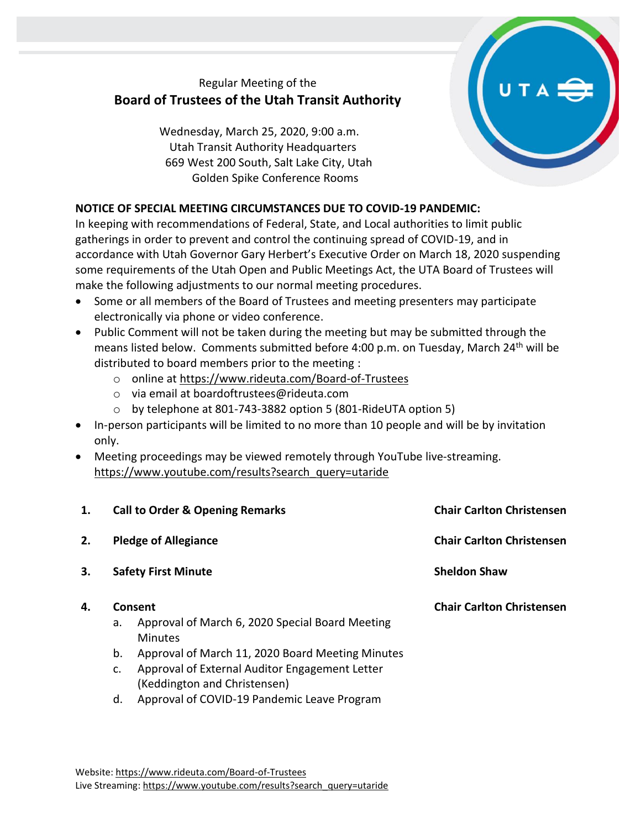## Regular Meeting of the **Board of Trustees of the Utah Transit Authority**

Wednesday, March 25, 2020, 9:00 a.m. Utah Transit Authority Headquarters 669 West 200 South, Salt Lake City, Utah Golden Spike Conference Rooms

## **NOTICE OF SPECIAL MEETING CIRCUMSTANCES DUE TO COVID-19 PANDEMIC:**

In keeping with recommendations of Federal, State, and Local authorities to limit public gatherings in order to prevent and control the continuing spread of COVID-19, and in accordance with Utah Governor Gary Herbert's Executive Order on March 18, 2020 suspending some requirements of the Utah Open and Public Meetings Act, the UTA Board of Trustees will make the following adjustments to our normal meeting procedures.

- Some or all members of the Board of Trustees and meeting presenters may participate electronically via phone or video conference.
- Public Comment will not be taken during the meeting but may be submitted through the means listed below. Comments submitted before  $4:00$  p.m. on Tuesday, March  $24<sup>th</sup>$  will be distributed to board members prior to the meeting :
	- o online at<https://www.rideuta.com/Board-of-Trustees>
	- o via email at [boardoftrustees@rideuta.com](mailto:boardoftrustees@rideuta.com)
	- o by telephone at 801-743-3882 option 5 (801-RideUTA option 5)
- In-person participants will be limited to no more than 10 people and will be by invitation only.
- Meeting proceedings may be viewed remotely through YouTube live-streaming. [https://www.youtube.com/results?search\\_query=utaride](https://www.youtube.com/results?search_query=utaride)

| 1. |         | <b>Call to Order &amp; Opening Remarks</b>                                     | <b>Chair Carlton Christensen</b> |
|----|---------|--------------------------------------------------------------------------------|----------------------------------|
| 2. |         | <b>Pledge of Allegiance</b>                                                    | <b>Chair Carlton Christensen</b> |
| 3. |         | <b>Safety First Minute</b>                                                     | <b>Sheldon Shaw</b>              |
| 4. | Consent |                                                                                | <b>Chair Carlton Christensen</b> |
|    | a.      | Approval of March 6, 2020 Special Board Meeting<br>Minutes                     |                                  |
|    | b.      | Approval of March 11, 2020 Board Meeting Minutes                               |                                  |
|    | c.      | Approval of External Auditor Engagement Letter<br>(Keddington and Christensen) |                                  |
|    | d.      | Approval of COVID-19 Pandemic Leave Program                                    |                                  |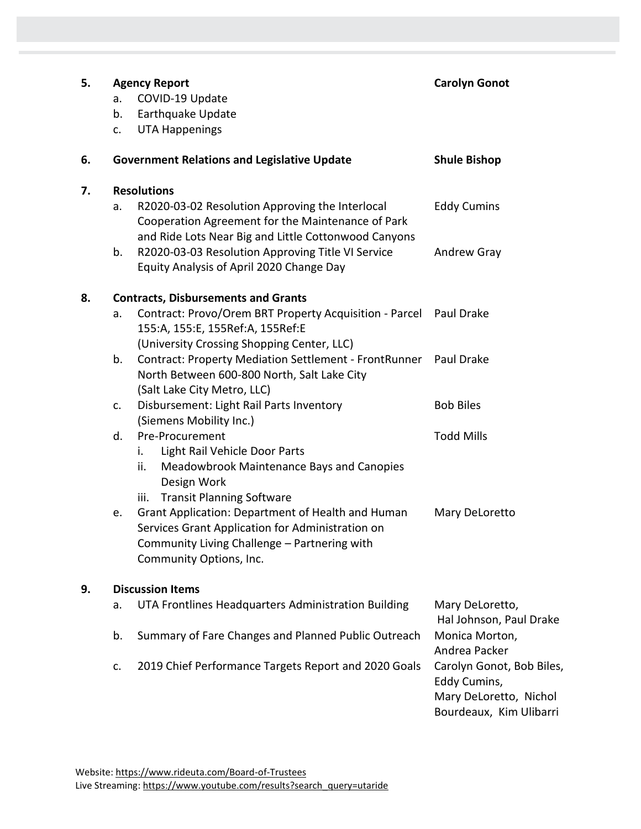| 5. | <b>Agency Report</b><br>a.<br>b.<br>c.             | COVID-19 Update<br>Earthquake Update<br><b>UTA Happenings</b>                                                                                                                                                                                                                                                                                       | <b>Carolyn Gonot</b>                                                                                                                                                            |
|----|----------------------------------------------------|-----------------------------------------------------------------------------------------------------------------------------------------------------------------------------------------------------------------------------------------------------------------------------------------------------------------------------------------------------|---------------------------------------------------------------------------------------------------------------------------------------------------------------------------------|
| 6. | <b>Government Relations and Legislative Update</b> |                                                                                                                                                                                                                                                                                                                                                     | <b>Shule Bishop</b>                                                                                                                                                             |
| 7. | <b>Resolutions</b><br>a.<br>b.                     | R2020-03-02 Resolution Approving the Interlocal<br>Cooperation Agreement for the Maintenance of Park<br>and Ride Lots Near Big and Little Cottonwood Canyons<br>R2020-03-03 Resolution Approving Title VI Service<br>Equity Analysis of April 2020 Change Day                                                                                       | <b>Eddy Cumins</b><br>Andrew Gray                                                                                                                                               |
| 8. | a.<br>b.                                           | <b>Contracts, Disbursements and Grants</b><br>Contract: Provo/Orem BRT Property Acquisition - Parcel Paul Drake<br>155:A, 155:E, 155Ref:A, 155Ref:E<br>(University Crossing Shopping Center, LLC)<br>Contract: Property Mediation Settlement - FrontRunner Paul Drake<br>North Between 600-800 North, Salt Lake City<br>(Salt Lake City Metro, LLC) |                                                                                                                                                                                 |
|    | c.                                                 | Disbursement: Light Rail Parts Inventory<br>(Siemens Mobility Inc.)                                                                                                                                                                                                                                                                                 | <b>Bob Biles</b>                                                                                                                                                                |
|    | d.<br>i.<br>ii.<br>iii.<br>e.                      | Pre-Procurement<br>Light Rail Vehicle Door Parts<br>Meadowbrook Maintenance Bays and Canopies<br>Design Work<br><b>Transit Planning Software</b><br>Grant Application: Department of Health and Human<br>Services Grant Application for Administration on<br>Community Living Challenge - Partnering with<br>Community Options, Inc.                | <b>Todd Mills</b><br>Mary DeLoretto                                                                                                                                             |
| 9. | <b>Discussion Items</b>                            |                                                                                                                                                                                                                                                                                                                                                     |                                                                                                                                                                                 |
|    | a.<br>b.<br>c.                                     | UTA Frontlines Headquarters Administration Building<br>Summary of Fare Changes and Planned Public Outreach<br>2019 Chief Performance Targets Report and 2020 Goals                                                                                                                                                                                  | Mary DeLoretto,<br>Hal Johnson, Paul Drake<br>Monica Morton,<br>Andrea Packer<br>Carolyn Gonot, Bob Biles,<br>Eddy Cumins,<br>Mary DeLoretto, Nichol<br>Bourdeaux, Kim Ulibarri |
|    |                                                    |                                                                                                                                                                                                                                                                                                                                                     |                                                                                                                                                                                 |